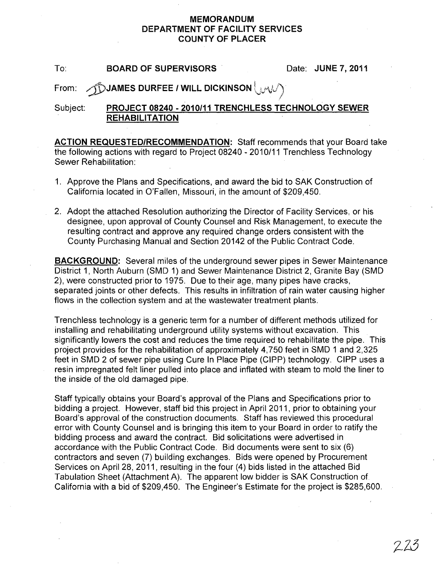#### MEMORANDUM DEPARTMENT OF FACILITY SERVICES COUNTY OF PLACER

To: BOARD OF SUPERVISORS Date: JUNE 7, 2011

### From:  $\bigcap$  JAMES DURFEE / WILL DICKINSON  $\bigcup_{i\in\{1,\ldots,k\}}$

### Subject: PROJECT 08240 - 2010/11 TRENCHLESS TECHNOLOGY SEWER **REHABILITATION**

ACTION REQUESTED/RECOMMENDATION: Staff recommends that your Board take the following actions with regard to Project 08240 - 2010/11 Trenchless Technology Sewer Rehabilitation:

- 1. Approve the Plans and Specifications, and award the bid to SAK Construction of California located in O'Fallen, Missouri, in the amount of \$209,450.
- 2. Adopt the attached Resolution authorizing the Director of Facility Services, or his designee, upon approval of County Counsel and Risk Management, to execute the resulting contract and approve any required change orders consistent with the County Purchasing Manual and Section 20142 of the Public Contract Code.

BACKGROUND: Several miles of the underground sewer pipes in Sewer Maintenance District 1, North Auburn (SMD 1) and Sewer Maintenance District 2, Granite Bay (SMD 2), were constructed prior to 1975. Due to their age, many pipes have cracks, separated joints or other defects. This results in infiltration of rain water causing higher flows in the collection system and at the wastewater treatment plants.

Trenchless technology is a generic term for a number of different methods utilized for installing and rehabilitating underground utility systems without excavation. This significantly lowers the cost and reduces the time required to rehabilitate the pipe. This project provides for the rehabilitation of approximately 4,750 feet in SMD 1 and 2,325 feet in SMD 2 of sewer pipe using Cure In Place Pipe (CIPP) technology. CIPP uses a resin impregnated felt liner pulled into place and inflated with steam to mold the liner to the inside of the old damaged pipe.

Staff typically obtains your Board's approval of the Plans and Specifications prior to bidding a project. However, staff bid this project in April 2011, prior to obtaining your Board's approval of the construction documents. Staff has reviewed this procedural error with County Counsel and is bringing this item to your Board in order to ratify the bidding process and award the contract. Bid solicitations were advertised in accordance with the Public Contract Code. Bid documents were sent to six (6) contractors and seven (7) building exchanges. Bids were opened by Procurement Services on April 28, 2011, resulting in the four (4) bids listed in the attached Bid Tabulation Sheet (Attachment A). The apparent low bidder is SAK Construction of California with a bid of \$209,450. The Engineer's Estimate for the project is \$285,600.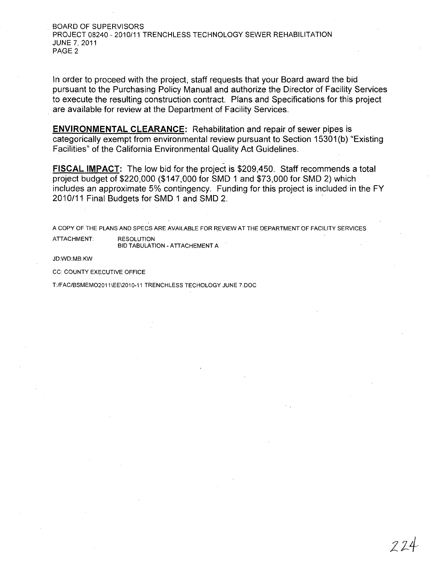BOARD OF SUPERVISORS PROJECT 08240 - 2010/11 TRENCHLESS TECHNOLOGY SEWER REHABILITATION JUNE 7, 2011 PAGE 2

In order to proceed with the project, staff requests that your Board award the bid pursuant to the Purchasing Policy Manual and authorize the Director of Facility Services to execute the resulting construction contract. Plans and Specifications for this project . are available for review at the Department of Facility Services.

**ENVIRONMENTAL CLEARANCE:** Rehabilitation and repair of sewer pipes is categorically exempt from environmental review pursuant to Section 15301(b) "Existing Facilities" of the California Environmental Quality Act Guidelines.

**FISCAL IMPACT:** The low bid for the project is \$209,450. Staff recommends a total project budget of \$220,000 (\$147,000 for SMD 1 and \$73,000 for SMD 2) which includes an approximate 5% contingency. Funding for this project is included in the FY 2010/11 Final Budgets for SMD 1 and SMD 2. .

A COpy OF THE PLANS AND SPECS ARE AVAILABLE FOR REVIEW AT THE DEPARTMENT OF FACILITY SERVICES ATTACHMENT: RESOLUTION BID TABULATION - ATTACHEMENT A

JD:WD:MB:KW

CC: COUNTY EXECUTIVE OFFICE

T:/FAC/BSMEM02011\EE\2010-11 TRENCHLESS TECHOLOGY JUNE 7.DOC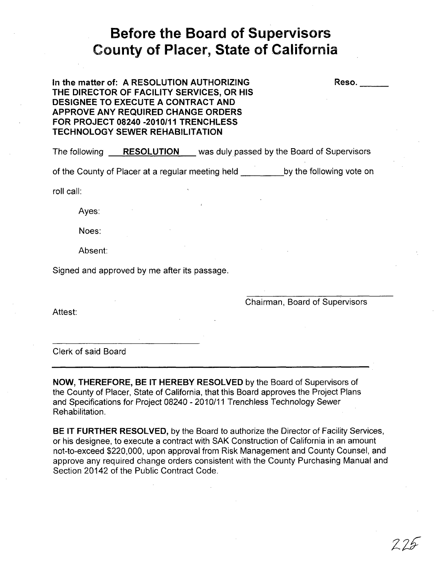# **Before the Board of Supervisors County of Placer, State of California**

**In the matter of: A RESOLUTION AUTHORIZING THE DIRECTOR OF FACILITY SERVICES, OR HIS DESIGNEE TO EXECUTE A CONTRACT AND APPROVE ANY REQUIRED CHANGE ORDERS FOR PROJECT 08240 -2010/11** TRENCH LESS **TECHNOLOGY SEWER REHABILITATION** 

The following **RESOLUTION** was duly passed by the Board of Supervisors

of the County of Placer at a regular meeting held by the following vote on

roll call:

Ayes:

Noes:

Absent:

Signed and approved by me after its passage.

Chairman, Board of Supervisors

Reso.

Attest:

Clerk of said Board

**NOW, THEREFORE, BE IT HEREBY RESOLVED** by the Board of Supervisors of the County of Placer, State of California, that this Board approves the Project Plans and Specifications for Project 08240 - 2010/11 Trenchless Technology Sewer Rehabilitation.

**BE IT FURTHER RESOLVED,** by the Board to authorize the Director of Facility Services, or his designee, to execute a contract with SAK Construction of California in an amount not-to-exceed \$220,000, upon approval from Risk Management and County Counsel, and approve any required change orders consistent with the County Purchasing Manual and Section 20142 of the Public Contract Code.